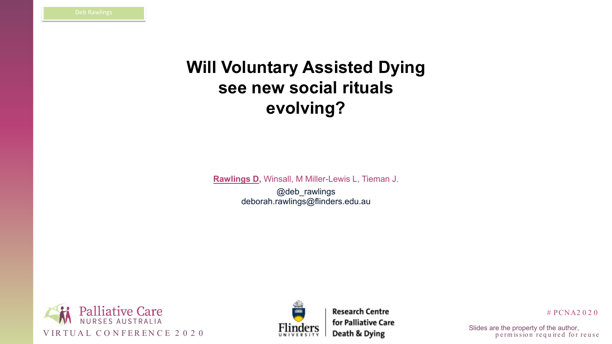



**Research Centre** 

# PCNA2 0 2 0

p e rm is sion required for reuse

# **Will Voluntary Assisted Dying see new social rituals evolving?**

**Rawlings D,** Winsall, M Miller-Lewis L, Tieman J.

@deb\_rawlings deborah.rawlings@flinders.edu.au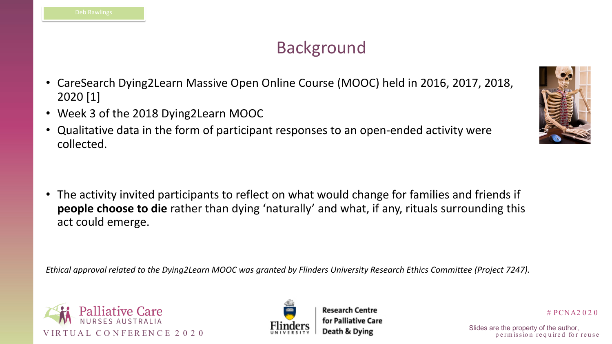





# PCNA2 0 2 0

p e rm is sion required for reuse

## Background

- CareSearch Dying2Learn Massive Open Online Course (MOOC) held in 2016, 2017, 2018, 2020 [1]
- Week 3 of the 2018 Dying2Learn MOOC
- Qualitative data in the form of participant responses to an open-ended activity were collected.

• The activity invited participants to reflect on what would change for families and friends if **people choose to die** rather than dying 'naturally' and what, if any, rituals surrounding this act could emerge.

*Ethical approval related to the Dying2Learn MOOC was granted by Flinders University Research Ethics Committee (Project 7247).*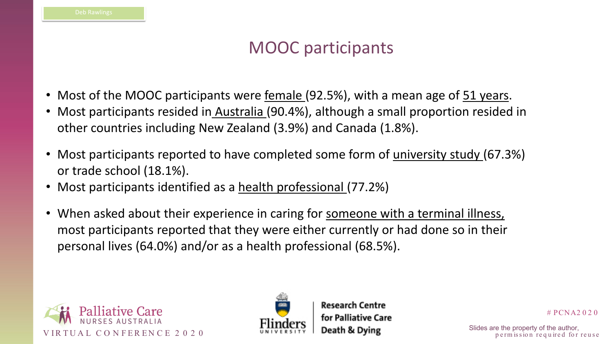





# PCNA2 0 2 0

p e rm is sion required for reuse

## MOOC participants

- 
- Most of the MOOC participants were female (92.5%), with a mean age of 51 years. • Most participants resided in Australia (90.4%), although a small proportion resided in other countries including New Zealand (3.9%) and Canada (1.8%).
- Most participants reported to have completed some form of university study (67.3%) or trade school (18.1%).
- Most participants identified as a health professional (77.2%)
- When asked about their experience in caring for someone with a terminal illness, most participants reported that they were either currently or had done so in their personal lives (64.0%) and/or as a health professional (68.5%).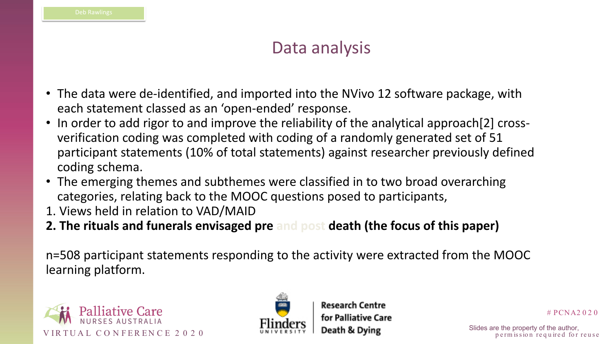



# PCNA2 0 2 0

p e rm is sion required for reuse

## Data analysis

- The data were de-identified, and imported into the NVivo 12 software package, with each statement classed as an 'open-ended' response.
- In order to add rigor to and improve the reliability of the analytical approach [2] crossverification coding was completed with coding of a randomly generated set of 51 participant statements (10% of total statements) against researcher previously defined coding schema.
- The emerging themes and subthemes were classified in to two broad overarching categories, relating back to the MOOC questions posed to participants,
- 1. Views held in relation to VAD/MAID
- **2. The rituals and funerals envisaged pre and post death (the focus of this paper)**

n=508 participant statements responding to the activity were extracted from the MOOC learning platform.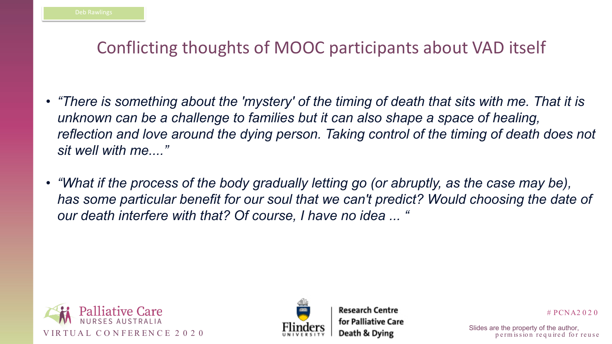



# PCNA2 0 2 0

p e rm is sion required for reuse

# Conflicting thoughts of MOOC participants about VAD itself

- *"There is something about the 'mystery' of the timing of death that sits with me. That it is unknown can be a challenge to families but it can also shape a space of healing,*  reflection and love around the dying person. Taking control of the timing of death does not *sit well with me...."*
- *"What if the process of the body gradually letting go (or abruptly, as the case may be), has some particular benefit for our soul that we can't predict? Would choosing the date of our death interfere with that? Of course, I have no idea ... "*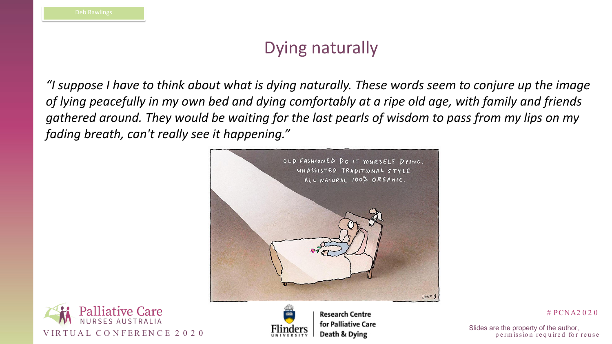



**Research Centre** 

# PCNA2 0 2 0

p e rm is sion required for reuse

## Dying naturally

*"I suppose I have to think about what is dying naturally. These words seem to conjure up the image of lying peacefully in my own bed and dying comfortably at a ripe old age, with family and friends gathered around. They would be waiting for the last pearls of wisdom to pass from my lips on my fading breath, can't really see it happening."*

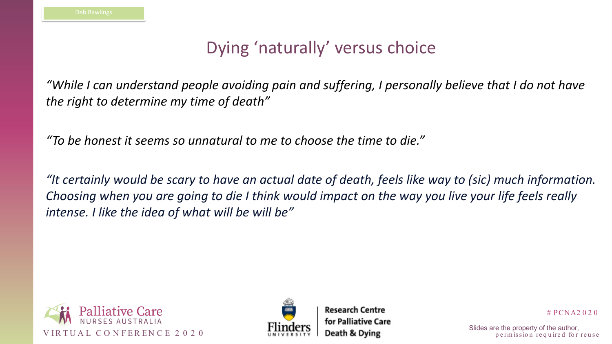



# PCNA2 0 2 0

p e rm is sion required for reuse

# Dying 'naturally' versus choice

*"While I can understand people avoiding pain and suffering, I personally believe that I do not have the right to determine my time of death"*

*"To be honest it seems so unnatural to me to choose the time to die."*

*"It certainly would be scary to have an actual date of death, feels like way to (sic) much information. Choosing when you are going to die I think would impact on the way you live your life feels really intense. I like the idea of what will be will be"*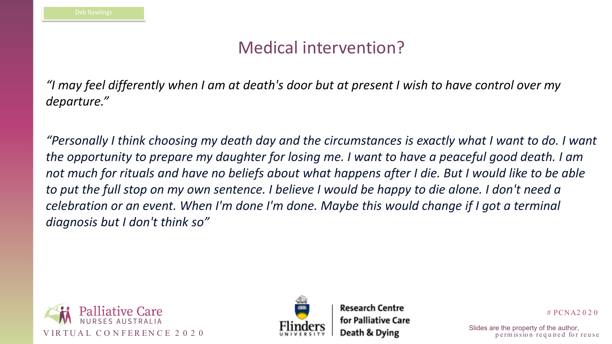



# PCNA2 0 2 0

p e rm is sion required for reuse

## Medical intervention?

*"I may feel differently when I am at death's door but at present I wish to have control over my departure."*

*"Personally I think choosing my death day and the circumstances is exactly what I want to do. I want the opportunity to prepare my daughter for losing me. I want to have a peaceful good death. I am not much for rituals and have no beliefs about what happens after I die. But I would like to be able to put the full stop on my own sentence. I believe I would be happy to die alone. I don't need a celebration or an event. When I'm done I'm done. Maybe this would change if I got a terminal diagnosis but I don't think so"*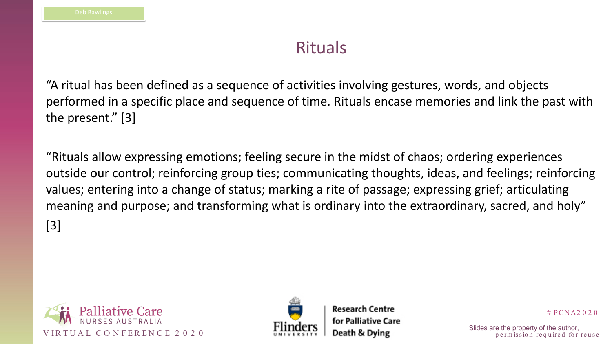



# PCNA2 0 2 0

p e rm is sion required for reuse

## Rituals

"A ritual has been defined as a sequence of activities involving gestures, words, and objects performed in a specific place and sequence of time. Rituals encase memories and link the past with the present." [3]

"Rituals allow expressing emotions; feeling secure in the midst of chaos; ordering experiences outside our control; reinforcing group ties; communicating thoughts, ideas, and feelings; reinforcing values; entering into a change of status; marking a rite of passage; expressing grief; articulating meaning and purpose; and transforming what is ordinary into the extraordinary, sacred, and holy" [3]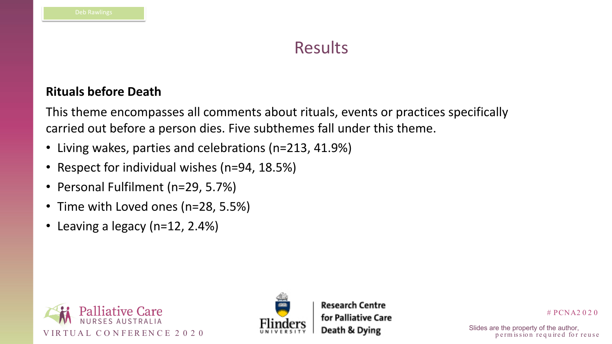





# PCNA2 0 2 0

p e rm is sion required for reuse

## Results

### **Rituals before Death**

- Living wakes, parties and celebrations (n=213, 41.9%)
- Respect for individual wishes (n=94, 18.5%)
- Personal Fulfilment (n=29, 5.7%)
- Time with Loved ones (n=28, 5.5%)
- Leaving a legacy (n=12, 2.4%)

This theme encompasses all comments about rituals, events or practices specifically carried out before a person dies. Five subthemes fall under this theme.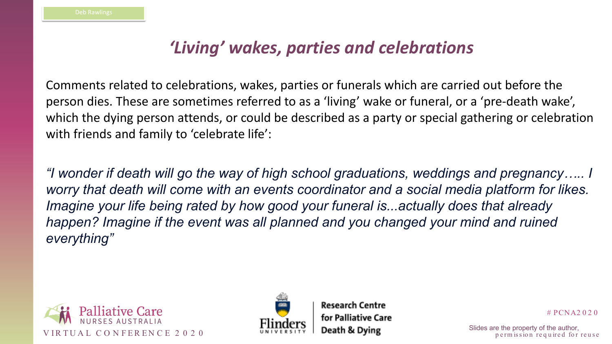



# PCNA2 0 2 0

p e rm is sion required for reuse

# *'Living' wakes, parties and celebrations*

Comments related to celebrations, wakes, parties or funerals which are carried out before the person dies. These are sometimes referred to as a 'living' wake or funeral, or a 'pre-death wake', which the dying person attends, or could be described as a party or special gathering or celebration with friends and family to 'celebrate life':

*"I wonder if death will go the way of high school graduations, weddings and pregnancy….. I worry that death will come with an events coordinator and a social media platform for likes. Imagine your life being rated by how good your funeral is...actually does that already happen? Imagine if the event was all planned and you changed your mind and ruined everything"*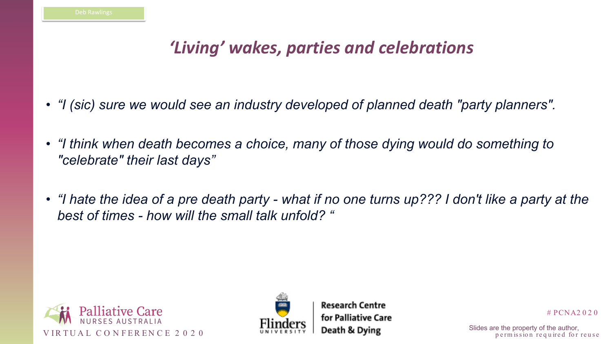



# PCNA2 0 2 0

p e rm is sion required for reuse

# *'Living' wakes, parties and celebrations*

- *"I (sic) sure we would see an industry developed of planned death "party planners".*
- "I think when death becomes a choice, many of those dying would do something to *"celebrate" their last days"*
- *"I hate the idea of a pre death party - what if no one turns up??? I don't like a party at the best of times - how will the small talk unfold? "*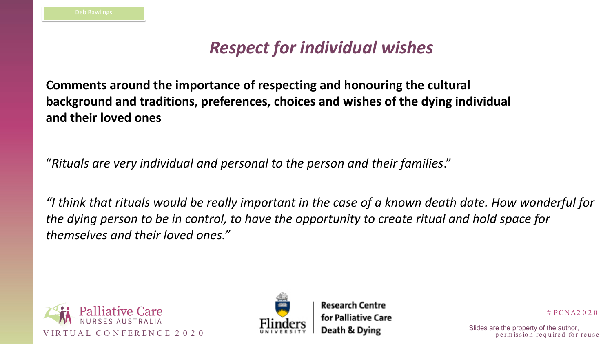





# PCNA2 0 2 0

p e rm is sion required for reuse

# *Respect for individual wishes*

"*Rituals are very individual and personal to the person and their families*."

*"I think that rituals would be really important in the case of a known death date. How wonderful for the dying person to be in control, to have the opportunity to create ritual and hold space for themselves and their loved ones."*

**Comments around the importance of respecting and honouring the cultural background and traditions, preferences, choices and wishes of the dying individual and their loved ones**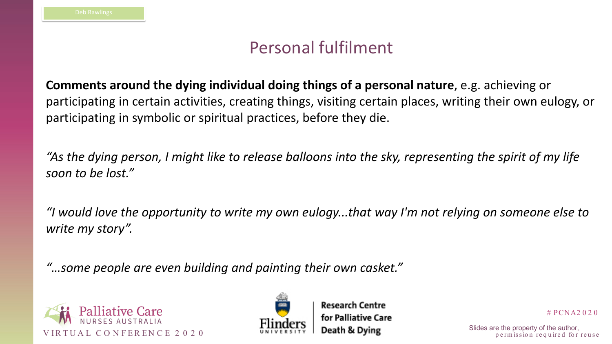



# PCNA2 0 2 0

p e rm is sion required for reuse

## Personal fulfilment

**Comments around the dying individual doing things of a personal nature**, e.g. achieving or participating in certain activities, creating things, visiting certain places, writing their own eulogy, or participating in symbolic or spiritual practices, before they die.

*"As the dying person, I might like to release balloons into the sky, representing the spirit of my life soon to be lost."*

*"I would love the opportunity to write my own eulogy...that way I'm not relying on someone else to write my story".* 

*"…some people are even building and painting their own casket."*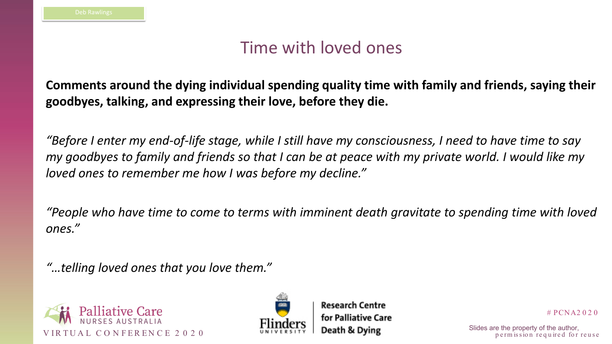



# PCNA2 0 2 0

p e rm is sion required for reuse

## Time with loved ones

### **Comments around the dying individual spending quality time with family and friends, saying their goodbyes, talking, and expressing their love, before they die.**

*"Before I enter my end-of-life stage, while I still have my consciousness, I need to have time to say my goodbyes to family and friends so that I can be at peace with my private world. I would like my loved ones to remember me how I was before my decline."*

*"People who have time to come to terms with imminent death gravitate to spending time with loved ones."*

*"…telling loved ones that you love them."*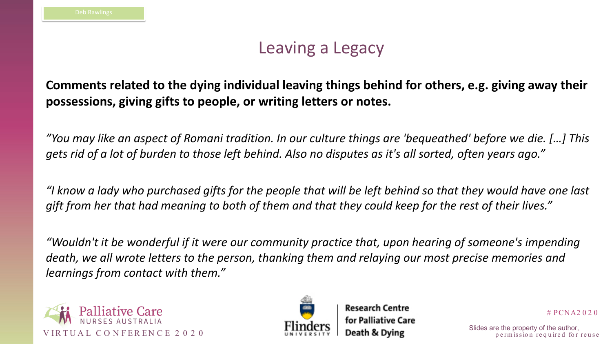



# PCNA2 0 2 0

p e rm is sion required for reuse

## Leaving a Legacy

### **Comments related to the dying individual leaving things behind for others, e.g. giving away their possessions, giving gifts to people, or writing letters or notes.**

*"You may like an aspect of Romani tradition. In our culture things are 'bequeathed' before we die. […] This gets rid of a lot of burden to those left behind. Also no disputes as it's all sorted, often years ago."*

*"I know a lady who purchased gifts for the people that will be left behind so that they would have one last gift from her that had meaning to both of them and that they could keep for the rest of their lives."*

*"Wouldn't it be wonderful if it were our community practice that, upon hearing of someone's impending death, we all wrote letters to the person, thanking them and relaying our most precise memories and learnings from contact with them."*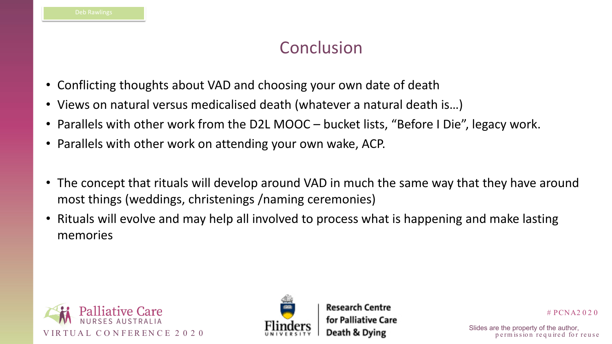



# PCNA2 0 2 0

p e rm is sion required for reuse

## Conclusion

- Conflicting thoughts about VAD and choosing your own date of death
- Views on natural versus medicalised death (whatever a natural death is…)
- Parallels with other work from the D2L MOOC bucket lists, "Before I Die", legacy work.
- Parallels with other work on attending your own wake, ACP.
- The concept that rituals will develop around VAD in much the same way that they have around most things (weddings, christenings /naming ceremonies)
- Rituals will evolve and may help all involved to process what is happening and make lasting memories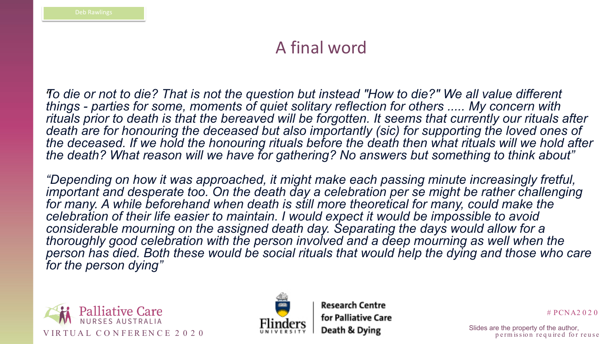



# PCNA2 0 2 0

p e rm is sion required for reuse

## A final word

To die or not to die? That is not the question but instead "How to die?" We all value different *things - parties for some, moments of quiet solitary reflection for others ..... My concern with rituals prior to death is that the bereaved will be forgotten. It seems that currently our rituals after*  death are for honouring the deceased but also importantly (sic) for supporting the loved ones of *the deceased. If we hold the honouring rituals before the death then what rituals will we hold after the death? What reason will we have for gathering? No answers but something to think about"*

*"Depending on how it was approached, it might make each passing minute increasingly fretful, important and desperate too. On the death day a celebration per se might be rather challenging* for many. A while beforehand when death is still more theoretical for many, could make the *celebration of their life easier to maintain. I would expect it would be impossible to avoid*  considerable mourning on the assigned death day. Separating the days would allow for a *thoroughly good celebration with the person involved and a deep mourning as well when the person has died. Both these would be social rituals that would help the dying and those who care for the person dying"*